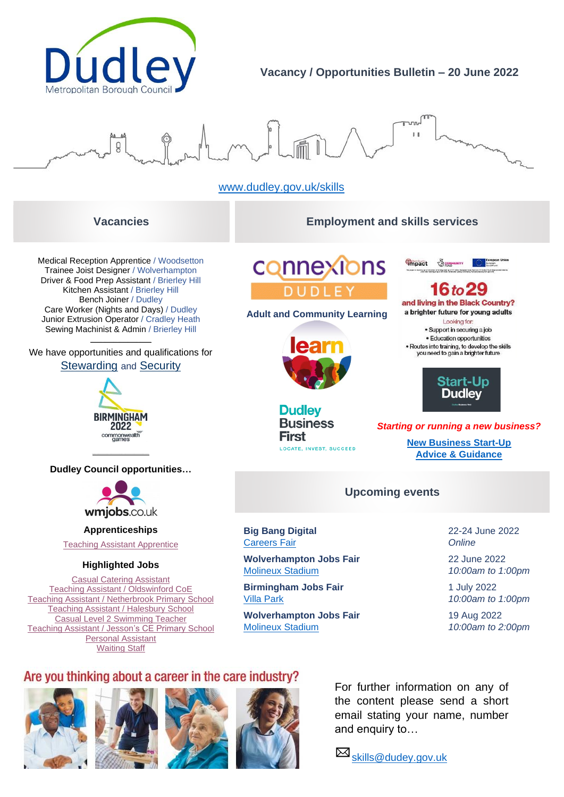

# **Vacancy / Opportunities Bulletin – 20 June 2022**



# [www.dudley.gov.uk/skills](http://www.dudley.gov.uk/skills)

# **Vacancies Employment and skills services**

Medical Reception Apprentice / Woodsetton Trainee Joist Designer / Wolverhampton Driver & Food Prep Assistant / Brierley Hill Kitchen Assistant / Brierley Hill Bench Joiner / Dudley Care Worker (Nights and Days) / Dudley Junior Extrusion Operator / Cradley Heath Sewing Machinist & Admin / Brierley Hill

**\_\_\_\_\_\_\_\_\_\_\_\_\_\_\_\_\_\_\_\_\_\_\_\_\_\_\_\_\_** We have opportunities and qualifications for [Stewarding](https://beta.wmca.org.uk/what-we-do/commonwealth-games-training-opportunities/stewarding/) and [Security](https://beta.wmca.org.uk/what-we-do/commonwealth-games-training-opportunities/stewarding/)



**\_\_\_\_\_\_\_\_\_\_\_\_\_\_\_\_\_\_\_\_\_\_\_\_\_\_\_ Dudley Council opportunities…**



**Apprenticeships**

[Teaching Assistant Apprentice](https://www.wmjobs.co.uk/job/126642/teaching-assistant-apprentice/)

### **Highlighted Jobs**

[Casual Catering Assistant](https://www.wmjobs.co.uk/job/118574/casual-catering-assistant/) [Teaching Assistant / Oldswinford CoE](https://www.wmjobs.co.uk/job/127255/level-2-teaching-assistant-/) [Teaching Assistant / Netherbrook Primary School](https://www.wmjobs.co.uk/job/128275/l2-teaching-assistants/) [Teaching Assistant / Halesbury School](https://www.wmjobs.co.uk/job/127542/level-3-teaching-assistant/) [Casual Level 2 Swimming Teacher](https://www.wmjobs.co.uk/job/128110/casual-level-2-swimming-teacher/) [Teaching Assistant / Jesson's CE Primary School](https://www.wmjobs.co.uk/job/128818/level-2-teaching-assistant/) [Personal Assistant](https://www.wmjobs.co.uk/job/128170/personal-assistant-pa1-/) [Waiting Staff](https://www.wmjobs.co.uk/job/126179/waiting-staff/)

connexions **DUDLEY** 

**Adult and Community Learning**



**Dudley Business First** LOCATE, INVEST, SUCCEED



 $16$  to  $29$ and living in the Black Country? a brighter future for young adults Looking for: · Support in securing a job

· Education opportunities • Routes into training, to develop the skills<br>you need to gain a brighter future



*Starting or running a new business?*

**[New Business Start-Up](https://www.blackcountrychamber.co.uk/campaigns-projects/start-up-dudley/) [Advice & Guidance](https://www.blackcountrychamber.co.uk/campaigns-projects/start-up-dudley/)**

# **Upcoming events**

**Big Bang Digital** 22-24 June 2022 [Careers Fair](https://successatschool.us3.list-manage.com/track/click?u=2c038531b25876a2c7c9cf8b1&id=79b91b13d1&e=88eb8ac200) *Online*

**Wolverhampton Jobs Fair** 22 June 2022 [Molineux Stadium](https://www.eventbrite.co.uk/e/wolverhampton-jobs-fair-tickets-178651550597) *10:00am to 1:00pm*

**Birmingham Jobs Fair** 1 July 2022 [Villa Park](https://www.eventbrite.co.uk/e/birmingham-jobs-fair-tickets-178073431427) *10:00am to 1:00pm*

**Wolverhampton Jobs Fair** 19 Aug 2022 [Molineux Stadium](https://www.eventbrite.co.uk/e/wolverhampton-careers-fair-tickets-203916027327) *10:00am to 2:00pm*

# Are you thinking about a career in the care industry?









For further information on any of the content please send a short email stating your name, number and enquiry to…

Skills@dudey.gov.uk